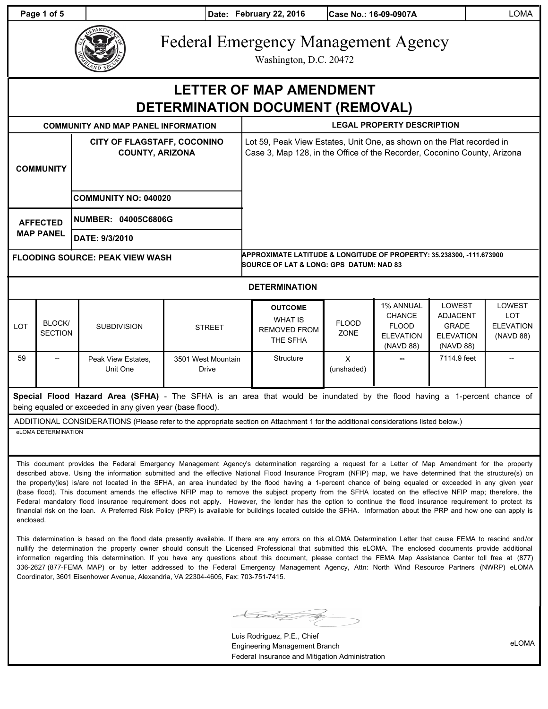**Page 1 of 5 Date: February 22, 2016 Case No.: 16-09-0907A LOMA** 



# Federal Emergency Management Agency

Washington, D.C. 20472

## **LETTER OF MAP AMENDMENT DETERMINATION DOCUMENT (REMOVAL)**

| <b>COMMUNITY AND MAP PANEL INFORMATION</b> |              |                                                       |               | <b>LEGAL PROPERTY DESCRIPTION</b>                                                                                                                 |              |                                                   |                                                  |                                                 |  |
|--------------------------------------------|--------------|-------------------------------------------------------|---------------|---------------------------------------------------------------------------------------------------------------------------------------------------|--------------|---------------------------------------------------|--------------------------------------------------|-------------------------------------------------|--|
| <b>COMMUNITY</b>                           |              | CITY OF FLAGSTAFF, COCONINO<br><b>COUNTY, ARIZONA</b> |               | Lot 59, Peak View Estates, Unit One, as shown on the Plat recorded in<br>Case 3, Map 128, in the Office of the Recorder, Coconino County, Arizona |              |                                                   |                                                  |                                                 |  |
|                                            |              | <b>COMMUNITY NO: 040020</b>                           |               |                                                                                                                                                   |              |                                                   |                                                  |                                                 |  |
| <b>AFFECTED</b><br><b>MAP PANEL</b>        |              | NUMBER: 04005C6806G                                   |               |                                                                                                                                                   |              |                                                   |                                                  |                                                 |  |
|                                            |              | DATE: 9/3/2010                                        |               |                                                                                                                                                   |              |                                                   |                                                  |                                                 |  |
| <b>FLOODING SOURCE: PEAK VIEW WASH</b>     |              |                                                       |               | APPROXIMATE LATITUDE & LONGITUDE OF PROPERTY: 35.238300, -111.673900<br><b>SOURCE OF LAT &amp; LONG: GPS DATUM: NAD 83</b>                        |              |                                                   |                                                  |                                                 |  |
|                                            |              |                                                       |               | <b>DETERMINATION</b>                                                                                                                              |              |                                                   |                                                  |                                                 |  |
| <b>LOT</b>                                 | <b>BLOCK</b> | <b>SUBDIVISION</b>                                    | <b>STREET</b> | <b>OUTCOME</b><br>WHAT IS<br>DEMOVED EDOM                                                                                                         | <b>FLOOD</b> | <b>1% ANNUAL</b><br><b>CHANCE</b><br><b>FLOOD</b> | <b>LOWEST</b><br><b>ADJACENT</b><br><b>GRADE</b> | <b>LOWEST</b><br><b>LOT</b><br><b>ELEVATION</b> |  |

| LOT | DLVVIV<br><b>SECTION</b> | <b>SUBDIVISION</b>             | <b>STREET</b>               | REMOVED FROM<br>THE SFHA | LUUD<br>ZONE    | FLOOD<br><b>ELEVATION</b><br>(NAVD 88) | <b>GRADE</b><br><b>ELEVATION</b><br>(NAVD 88) | ELEVATION<br>(NAVD 88) |
|-----|--------------------------|--------------------------------|-----------------------------|--------------------------|-----------------|----------------------------------------|-----------------------------------------------|------------------------|
| 59  | --                       | Peak View Estates.<br>Unit One | 3501 West Mountain<br>Drive | Structure                | X<br>(unshaded) | $\hspace{0.05cm}-\hspace{0.05cm}$      | 7114.9 feet                                   | $- -$                  |

**Special Flood Hazard Area (SFHA)** - The SFHA is an area that would be inundated by the flood having a 1-percent chance of being equaled or exceeded in any given year (base flood).

ADDITIONAL CONSIDERATIONS (Please refer to the appropriate section on Attachment 1 for the additional considerations listed below.) eLOMA DETERMINATION

This document provides the Federal Emergency Management Agency's determination regarding a request for a Letter of Map Amendment for the property described above. Using the information submitted and the effective National Flood Insurance Program (NFIP) map, we have determined that the structure(s) on the property(ies) is/are not located in the SFHA, an area inundated by the flood having a 1-percent chance of being equaled or exceeded in any given year (base flood). This document amends the effective NFIP map to remove the subject property from the SFHA located on the effective NFIP map; therefore, the Federal mandatory flood insurance requirement does not apply. However, the lender has the option to continue the flood insurance requirement to protect its financial risk on the loan. A Preferred Risk Policy (PRP) is available for buildings located outside the SFHA. Information about the PRP and how one can apply is enclosed.

This determination is based on the flood data presently available. If there are any errors on this eLOMA Determination Letter that cause FEMA to rescind and/or nullify the determination the property owner should consult the Licensed Professional that submitted this eLOMA. The enclosed documents provide additional information regarding this determination. If you have any questions about this document, please contact the FEMA Map Assistance Center toll free at (877) 336-2627 (877-FEMA MAP) or by letter addressed to the Federal Emergency Management Agency, Attn: North Wind Resource Partners (NWRP) eLOMA Coordinator, 3601 Eisenhower Avenue, Alexandria, VA 22304-4605, Fax: 703-751-7415.

<u>Kalif Z</u>

Luis Rodriguez, P.E., Chief Engineering Management Branch Federal Insurance and Mitigation Administration

eLOMA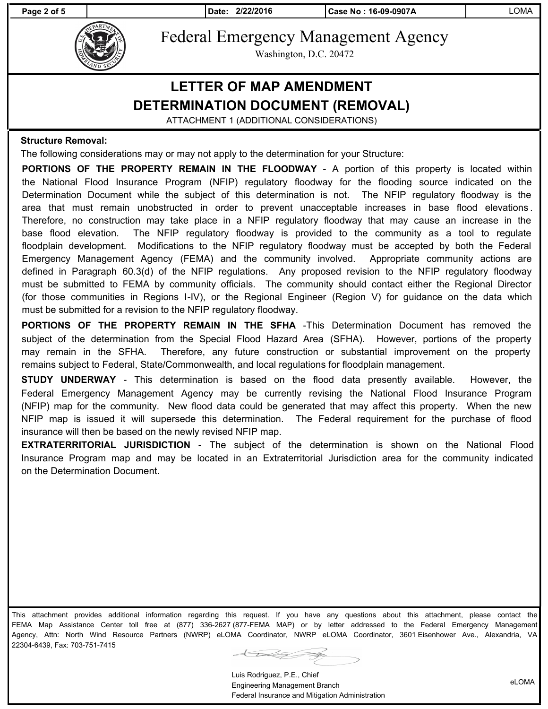**Page 2 of 5 Date: 2/22/2016 Case No : 16-09-0907A** LOMA



Federal Emergency Management Agency

Washington, D.C. 20472

## **LETTER OF MAP AMENDMENT DETERMINATION DOCUMENT (REMOVAL)**

ATTACHMENT 1 (ADDITIONAL CONSIDERATIONS)

#### **Structure Removal:**

The following considerations may or may not apply to the determination for your Structure:

**PORTIONS OF THE PROPERTY REMAIN IN THE FLOODWAY** - A portion of this property is located within the National Flood Insurance Program (NFIP) regulatory floodway for the flooding source indicated on the Determination Document while the subject of this determination is not. The NFIP regulatory floodway is the area that must remain unobstructed in order to prevent unacceptable increases in base flood elevations . Therefore, no construction may take place in a NFIP regulatory floodway that may cause an increase in the base flood elevation. The NFIP regulatory floodway is provided to the community as a tool to regulate floodplain development. Modifications to the NFIP regulatory floodway must be accepted by both the Federal Emergency Management Agency (FEMA) and the community involved. Appropriate community actions are defined in Paragraph 60.3(d) of the NFIP regulations. Any proposed revision to the NFIP regulatory floodway must be submitted to FEMA by community officials. The community should contact either the Regional Director (for those communities in Regions I-IV), or the Regional Engineer (Region V) for guidance on the data which must be submitted for a revision to the NFIP regulatory floodway.

**PORTIONS OF THE PROPERTY REMAIN IN THE SFHA** -This Determination Document has removed the subject of the determination from the Special Flood Hazard Area (SFHA). However, portions of the property may remain in the SFHA. Therefore, any future construction or substantial improvement on the property remains subject to Federal, State/Commonwealth, and local regulations for floodplain management.

**STUDY UNDERWAY** - This determination is based on the flood data presently available. However, the Federal Emergency Management Agency may be currently revising the National Flood Insurance Program (NFIP) map for the community. New flood data could be generated that may affect this property. When the new NFIP map is issued it will supersede this determination. The Federal requirement for the purchase of flood insurance will then be based on the newly revised NFIP map.

**EXTRATERRITORIAL JURISDICTION** - The subject of the determination is shown on the National Flood Insurance Program map and may be located in an Extraterritorial Jurisdiction area for the community indicated on the Determination Document.

This attachment provides additional information regarding this request. If you have any questions about this attachment, please contact the FEMA Map Assistance Center toll free at (877) 336-2627 (877-FEMA MAP) or by letter addressed to the Federal Emergency Management Agency, Attn: North Wind Resource Partners (NWRP) eLOMA Coordinator, NWRP eLOMA Coordinator, 3601 Eisenhower Ave., Alexandria, VA 22304-6439, Fax: 703-751-7415

 $\widetilde{\phantom{m}}$ 

Luis Rodriguez, P.E., Chief Engineering Management Branch Federal Insurance and Mitigation Administration